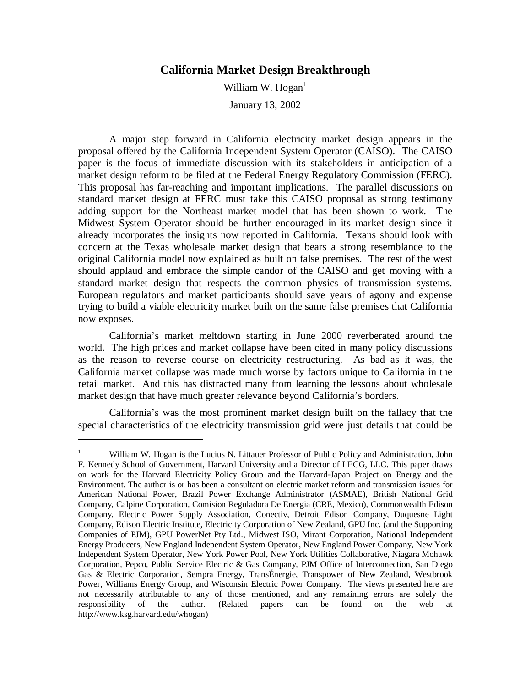## **California Market Design Breakthrough**

William W.  $Hogan<sup>1</sup>$ 

January 13, 2002

A major step forward in California electricity market design appears in the proposal offered by the California Independent System Operator (CAISO). The CAISO paper is the focus of immediate discussion with its stakeholders in anticipation of a market design reform to be filed at the Federal Energy Regulatory Commission (FERC). This proposal has far-reaching and important implications. The parallel discussions on standard market design at FERC must take this CAISO proposal as strong testimony adding support for the Northeast market model that has been shown to work. The Midwest System Operator should be further encouraged in its market design since it already incorporates the insights now reported in California. Texans should look with concern at the Texas wholesale market design that bears a strong resemblance to the original California model now explained as built on false premises. The rest of the west should applaud and embrace the simple candor of the CAISO and get moving with a standard market design that respects the common physics of transmission systems. European regulators and market participants should save years of agony and expense trying to build a viable electricity market built on the same false premises that California now exposes.

California's market meltdown starting in June 2000 reverberated around the world. The high prices and market collapse have been cited in many policy discussions as the reason to reverse course on electricity restructuring. As bad as it was, the California market collapse was made much worse by factors unique to California in the retail market. And this has distracted many from learning the lessons about wholesale market design that have much greater relevance beyond California's borders.

California's was the most prominent market design built on the fallacy that the special characteristics of the electricity transmission grid were just details that could be

 $\overline{a}$ 

<sup>1</sup> William W. Hogan is the Lucius N. Littauer Professor of Public Policy and Administration, John F. Kennedy School of Government, Harvard University and a Director of LECG, LLC. This paper draws on work for the Harvard Electricity Policy Group and the Harvard-Japan Project on Energy and the Environment. The author is or has been a consultant on electric market reform and transmission issues for American National Power, Brazil Power Exchange Administrator (ASMAE), British National Grid Company, Calpine Corporation, Comision Reguladora De Energia (CRE, Mexico), Commonwealth Edison Company, Electric Power Supply Association, Conectiv, Detroit Edison Company, Duquesne Light Company, Edison Electric Institute, Electricity Corporation of New Zealand, GPU Inc. (and the Supporting Companies of PJM), GPU PowerNet Pty Ltd., Midwest ISO, Mirant Corporation, National Independent Energy Producers, New England Independent System Operator, New England Power Company, New York Independent System Operator, New York Power Pool, New York Utilities Collaborative, Niagara Mohawk Corporation, Pepco, Public Service Electric & Gas Company, PJM Office of Interconnection, San Diego Gas & Electric Corporation, Sempra Energy, TransÉnergie, Transpower of New Zealand, Westbrook Power, Williams Energy Group, and Wisconsin Electric Power Company. The views presented here are not necessarily attributable to any of those mentioned, and any remaining errors are solely the responsibility of the author. (Related papers can be found on the web at http://www.ksg.harvard.edu/whogan)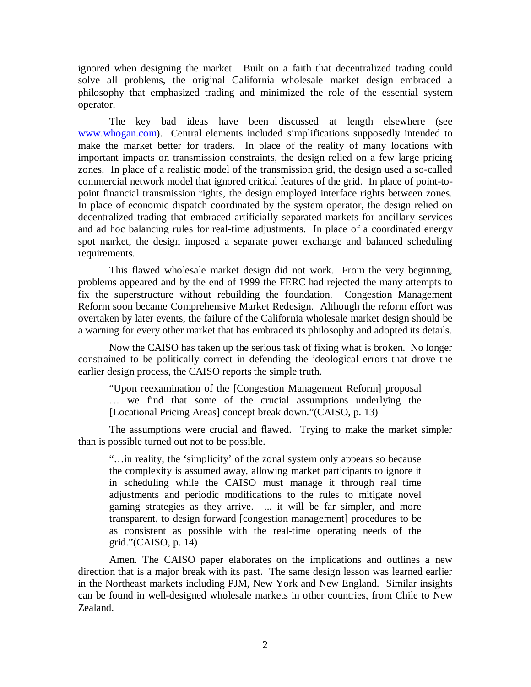ignored when designing the market. Built on a faith that decentralized trading could solve all problems, the original California wholesale market design embraced a philosophy that emphasized trading and minimized the role of the essential system operator.

The key bad ideas have been discussed at length elsewhere (see www.whogan.com). Central elements included simplifications supposedly intended to make the market better for traders. In place of the reality of many locations with important impacts on transmission constraints, the design relied on a few large pricing zones. In place of a realistic model of the transmission grid, the design used a so-called commercial network model that ignored critical features of the grid. In place of point-topoint financial transmission rights, the design employed interface rights between zones. In place of economic dispatch coordinated by the system operator, the design relied on decentralized trading that embraced artificially separated markets for ancillary services and ad hoc balancing rules for real-time adjustments. In place of a coordinated energy spot market, the design imposed a separate power exchange and balanced scheduling requirements.

This flawed wholesale market design did not work. From the very beginning, problems appeared and by the end of 1999 the FERC had rejected the many attempts to fix the superstructure without rebuilding the foundation. Congestion Management Reform soon became Comprehensive Market Redesign. Although the reform effort was overtaken by later events, the failure of the California wholesale market design should be a warning for every other market that has embraced its philosophy and adopted its details.

Now the CAISO has taken up the serious task of fixing what is broken. No longer constrained to be politically correct in defending the ideological errors that drove the earlier design process, the CAISO reports the simple truth.

"Upon reexamination of the [Congestion Management Reform] proposal … we find that some of the crucial assumptions underlying the [Locational Pricing Areas] concept break down."(CAISO, p. 13)

The assumptions were crucial and flawed. Trying to make the market simpler than is possible turned out not to be possible.

"…in reality, the 'simplicity' of the zonal system only appears so because the complexity is assumed away, allowing market participants to ignore it in scheduling while the CAISO must manage it through real time adjustments and periodic modifications to the rules to mitigate novel gaming strategies as they arrive. ... it will be far simpler, and more transparent, to design forward [congestion management] procedures to be as consistent as possible with the real-time operating needs of the grid."(CAISO, p. 14)

Amen. The CAISO paper elaborates on the implications and outlines a new direction that is a major break with its past. The same design lesson was learned earlier in the Northeast markets including PJM, New York and New England. Similar insights can be found in well-designed wholesale markets in other countries, from Chile to New Zealand.